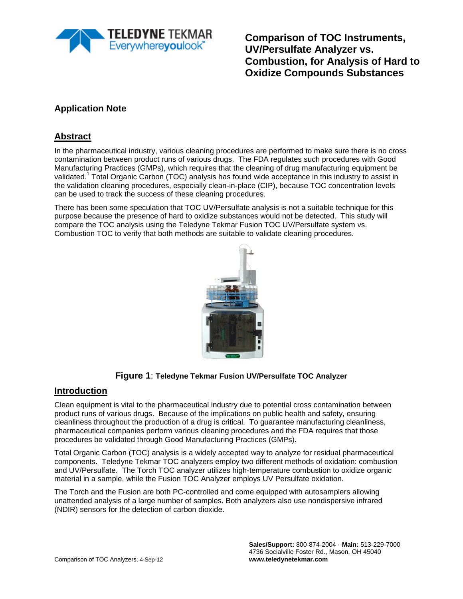

**Comparison of TOC Instruments, UV/Persulfate Analyzer vs. Combustion, for Analysis of Hard to Oxidize Compounds Substances**

# **Application Note**

## **Abstract**

In the pharmaceutical industry, various cleaning procedures are performed to make sure there is no cross contamination between product runs of various drugs. The FDA regulates such procedures with Good Manufacturing Practices (GMPs), which requires that the cleaning of drug manufacturing equipment be validated.<sup>1</sup> Total Organic Carbon (TOC) analysis has found wide acceptance in this industry to assist in the validation cleaning procedures, especially clean-in-place (CIP), because TOC concentration levels can be used to track the success of these cleaning procedures.

There has been some speculation that TOC UV/Persulfate analysis is not a suitable technique for this purpose because the presence of hard to oxidize substances would not be detected. This study will compare the TOC analysis using the Teledyne Tekmar Fusion TOC UV/Persulfate system vs. Combustion TOC to verify that both methods are suitable to validate cleaning procedures.



#### **Figure 1**: **Teledyne Tekmar Fusion UV/Persulfate TOC Analyzer**

#### **Introduction**

Clean equipment is vital to the pharmaceutical industry due to potential cross contamination between product runs of various drugs. Because of the implications on public health and safety, ensuring cleanliness throughout the production of a drug is critical. To guarantee manufacturing cleanliness, pharmaceutical companies perform various cleaning procedures and the FDA requires that those procedures be validated through Good Manufacturing Practices (GMPs).

Total Organic Carbon (TOC) analysis is a widely accepted way to analyze for residual pharmaceutical components. Teledyne Tekmar TOC analyzers employ two different methods of oxidation: combustion and UV/Persulfate. The Torch TOC analyzer utilizes high-temperature combustion to oxidize organic material in a sample, while the Fusion TOC Analyzer employs UV Persulfate oxidation.

The Torch and the Fusion are both PC-controlled and come equipped with autosamplers allowing unattended analysis of a large number of samples. Both analyzers also use nondispersive infrared (NDIR) sensors for the detection of carbon dioxide.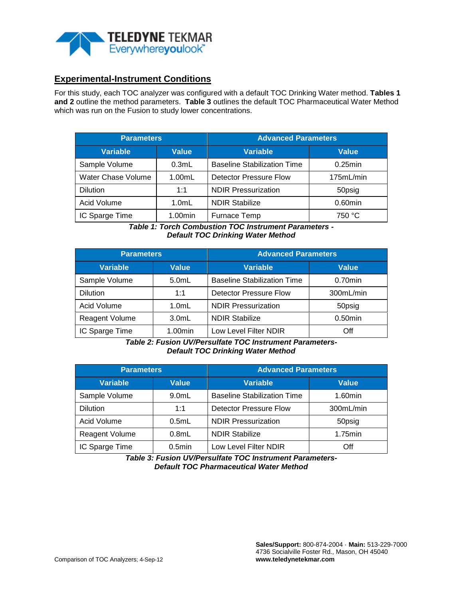

### **Experimental-Instrument Conditions**

For this study, each TOC analyzer was configured with a default TOC Drinking Water method. **Tables 1 and 2** outline the method parameters. **Table 3** outlines the default TOC Pharmaceutical Water Method which was run on the Fusion to study lower concentrations.

| <b>Parameters</b>            |              | <b>Advanced Parameters</b>         |            |  |  |
|------------------------------|--------------|------------------------------------|------------|--|--|
| <b>Variable</b>              | <b>Value</b> | <b>Variable</b>                    | Value      |  |  |
| Sample Volume                | 0.3mL        | <b>Baseline Stabilization Time</b> | $0.25$ min |  |  |
| Water Chase Volume<br>1.00mL |              | <b>Detector Pressure Flow</b>      | 175mL/min  |  |  |
| <b>Dilution</b>              | 1:1          | <b>NDIR Pressurization</b>         | 50psig     |  |  |
| Acid Volume<br>$1.0m$ L      |              | <b>NDIR Stabilize</b>              | $0.60$ min |  |  |
| IC Sparge Time               | $1.00$ min   | Furnace Temp                       | 750 °C     |  |  |

*Table 1: Torch Combustion TOC Instrument Parameters - Default TOC Drinking Water Method*

| <b>Parameters</b>                 |          | <b>Advanced Parameters</b>         |            |  |  |
|-----------------------------------|----------|------------------------------------|------------|--|--|
| <b>Variable</b>                   | Value    | <b>Variable</b>                    | Value      |  |  |
| Sample Volume                     | 5.0mL    | <b>Baseline Stabilization Time</b> | $0.70$ min |  |  |
| <b>Dilution</b>                   | 1:1      | <b>Detector Pressure Flow</b>      | 300mL/min  |  |  |
| Acid Volume                       | $1.0m$ L | <b>NDIR Pressurization</b>         | 50psig     |  |  |
| <b>Reagent Volume</b><br>$3.0m$ L |          | <b>NDIR Stabilize</b>              | $0.50$ min |  |  |
| IC Sparge Time                    | 1.00min  | Low Level Filter NDIR              | Off        |  |  |

*Table 2: Fusion UV/Persulfate TOC Instrument Parameters-Default TOC Drinking Water Method*

| <b>Parameters</b>              |           | <b>Advanced Parameters</b>         |              |  |  |
|--------------------------------|-----------|------------------------------------|--------------|--|--|
| <b>Variable</b><br>Value       |           | <b>Variable</b>                    | <b>Value</b> |  |  |
| Sample Volume                  | $9.0m$ L  | <b>Baseline Stabilization Time</b> | $1.60$ min   |  |  |
| <b>Dilution</b>                | 1:1       | <b>Detector Pressure Flow</b>      | 300mL/min    |  |  |
| Acid Volume                    | 0.5mL     | <b>NDIR Pressurization</b>         | 50psig       |  |  |
| <b>Reagent Volume</b><br>0.8mL |           | <b>NDIR Stabilize</b>              | 1.75min      |  |  |
| IC Sparge Time                 | $0.5$ min | Low Level Filter NDIR              | Off          |  |  |

*Table 3: Fusion UV/Persulfate TOC Instrument Parameters-Default TOC Pharmaceutical Water Method*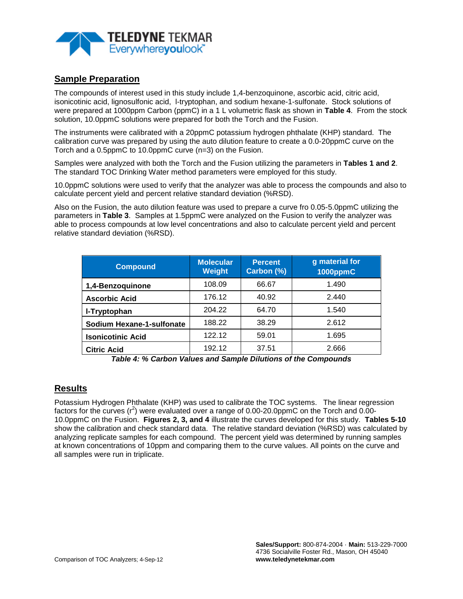

# **Sample Preparation**

The compounds of interest used in this study include 1,4-benzoquinone, ascorbic acid, citric acid, isonicotinic acid, lignosulfonic acid, l-tryptophan, and sodium hexane-1-sulfonate. Stock solutions of were prepared at 1000ppm Carbon (ppmC) in a 1 L volumetric flask as shown in **Table 4**. From the stock solution, 10.0ppmC solutions were prepared for both the Torch and the Fusion.

The instruments were calibrated with a 20ppmC potassium hydrogen phthalate (KHP) standard. The calibration curve was prepared by using the auto dilution feature to create a 0.0-20ppmC curve on the Torch and a 0.5ppmC to 10.0ppmC curve (n=3) on the Fusion.

Samples were analyzed with both the Torch and the Fusion utilizing the parameters in **Tables 1 and 2**. The standard TOC Drinking Water method parameters were employed for this study.

10.0ppmC solutions were used to verify that the analyzer was able to process the compounds and also to calculate percent yield and percent relative standard deviation (%RSD).

Also on the Fusion, the auto dilution feature was used to prepare a curve fro 0.05-5.0ppmC utilizing the parameters in **Table 3**. Samples at 1.5ppmC were analyzed on the Fusion to verify the analyzer was able to process compounds at low level concentrations and also to calculate percent yield and percent relative standard deviation (%RSD).

| <b>Compound</b>           | <b>Molecular</b><br><b>Weight</b> | <b>Percent</b><br>Carbon (%) | g material for<br><b>1000ppmC</b> |
|---------------------------|-----------------------------------|------------------------------|-----------------------------------|
| 1,4-Benzoquinone          | 108.09                            | 66.67                        | 1.490                             |
| <b>Ascorbic Acid</b>      | 176.12                            | 40.92                        | 2.440                             |
| I-Tryptophan              | 204.22                            | 64.70                        | 1.540                             |
| Sodium Hexane-1-sulfonate | 188.22                            | 38.29                        | 2.612                             |
| <b>Isonicotinic Acid</b>  | 122.12                            | 59.01                        | 1.695                             |
| <b>Citric Acid</b>        | 192.12                            | 37.51                        | 2.666                             |

*Table 4: % Carbon Values and Sample Dilutions of the Compounds*

#### **Results**

Potassium Hydrogen Phthalate (KHP) was used to calibrate the TOC systems. The linear regression factors for the curves (r<sup>2</sup>) were evaluated over a range of 0.00-20.0ppmC on the Torch and 0.00-10.0ppmC on the Fusion. **Figures 2, 3, and 4** illustrate the curves developed for this study. **Tables 5-10** show the calibration and check standard data. The relative standard deviation (%RSD) was calculated by analyzing replicate samples for each compound. The percent yield was determined by running samples at known concentrations of 10ppm and comparing them to the curve values. All points on the curve and all samples were run in triplicate.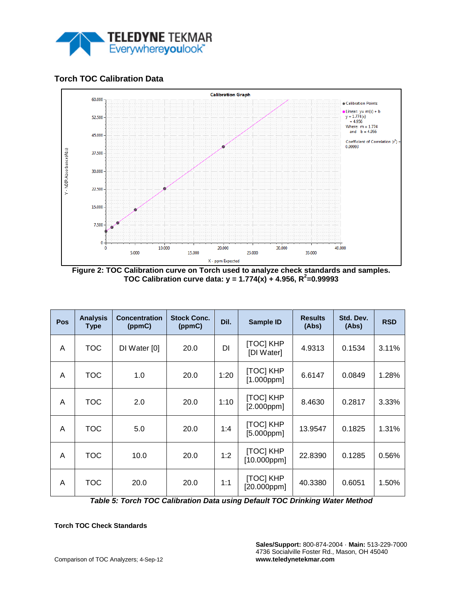

## **Torch TOC Calibration Data**



**Figure 2: TOC Calibration curve on Torch used to analyze check standards and samples. TOC Calibration curve data: y = 1.774(x) + 4.956, R<sup>2</sup> =0.99993**

| Pos | <b>Analysis</b><br><b>Type</b> | <b>Concentration</b><br>(ppmC) | <b>Stock Conc.</b><br>(ppmC) | Dil. | <b>Sample ID</b>                     | <b>Results</b><br>(Abs) | Std. Dev.<br>(Abs) | <b>RSD</b> |
|-----|--------------------------------|--------------------------------|------------------------------|------|--------------------------------------|-------------------------|--------------------|------------|
| A   | <b>TOC</b>                     | DI Water [0]                   | 20.0                         | DI   | [TOC] KHP<br>[DI Water]              | 4.9313                  | 0.1534             | 3.11%      |
| A   | <b>TOC</b>                     | 1.0                            | 20.0                         | 1:20 | [TOC] KHP<br>$[1.000$ ppm $]$        | 6.6147                  | 0.0849             | 1.28%      |
| A   | TOC                            | 2.0                            | 20.0                         | 1:10 | [TOC] KHP<br>$[2.000$ ppm $]$        | 8.4630                  | 0.2817             | 3.33%      |
| A   | <b>TOC</b>                     | 5.0                            | 20.0                         | 1:4  | <b>[TOC] KHP</b><br>$[5.000$ ppm $]$ | 13.9547                 | 0.1825             | 1.31%      |
| A   | <b>TOC</b>                     | 10.0                           | 20.0                         | 1:2  | <b>[TOC] KHP</b><br>$[10.000$ ppm]   | 22.8390                 | 0.1285             | 0.56%      |
| A   | TOC                            | 20.0                           | 20.0                         | 1:1  | [TOC] KHP<br>$[20.000$ ppm $]$       | 40.3380                 | 0.6051             | 1.50%      |

*Table 5: Torch TOC Calibration Data using Default TOC Drinking Water Method*

**Torch TOC Check Standards**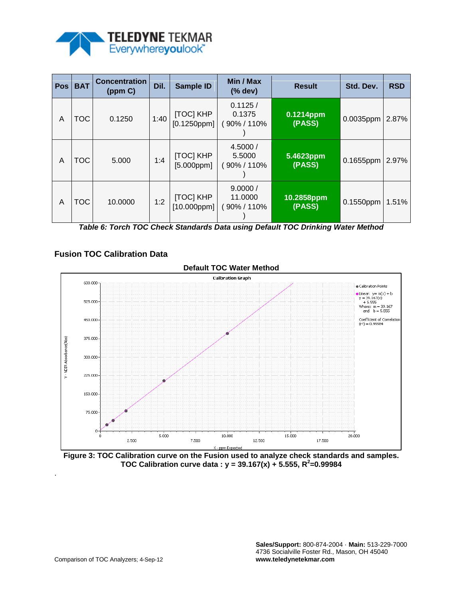

| Pos | <b>BAT</b> | <b>Concentration</b><br>(ppm C) | Dil. | <b>Sample ID</b>               | Min / Max<br>(% dev)             | <b>Result</b>        | Std. Dev. | <b>RSD</b> |
|-----|------------|---------------------------------|------|--------------------------------|----------------------------------|----------------------|-----------|------------|
| A   | тос        | 0.1250                          | 1:40 | [TOC] KHP<br>$[0.1250$ ppm $]$ | 0.1125/<br>0.1375<br>90% / 110%  | 0.1214ppm<br>(PASS)  | 0.0035ppm | 2.87%      |
| A   | TOC        | 5.000                           | 1:4  | [TOC] KHP<br>$[5.000$ ppm $]$  | 4.5000/<br>5.5000<br>90% / 110%  | 5.4623ppm<br>(PASS)  | 0.1655ppm | 2.97%      |
| A   | TOC        | 10.0000                         | 1:2  | [TOC] KHP<br>[10.000ppm]       | 9.0000/<br>11.0000<br>90% / 110% | 10.2858ppm<br>(PASS) | 0.1550ppm | 1.51%      |

*Table 6: Torch TOC Check Standards Data using Default TOC Drinking Water Method*

# **Fusion TOC Calibration Data**



**Figure 3: TOC Calibration curve on the Fusion used to analyze check standards and samples. TOC Calibration curve data : y = 39.167(x) + 5.555, R<sup>2</sup> =0.99984**

.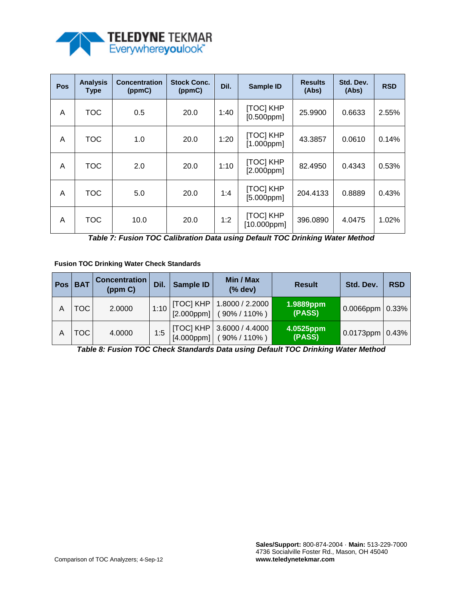

| Pos | <b>Analysis</b><br><b>Type</b> | <b>Concentration</b><br>(ppmC) | <b>Stock Conc.</b><br>(ppmC) | Dil. | Sample ID                            | <b>Results</b><br>(Abs) | Std. Dev.<br>(Abs) | <b>RSD</b> |
|-----|--------------------------------|--------------------------------|------------------------------|------|--------------------------------------|-------------------------|--------------------|------------|
| A   | <b>TOC</b>                     | 0.5                            | 20.0                         | 1:40 | [TOC] KHP<br>$[0.500$ ppm]           | 25.9900                 | 0.6633             | 2.55%      |
| A   | <b>TOC</b>                     | 1.0                            | 20.0                         | 1:20 | [TOC] KHP<br>$[1.000$ ppm $]$        | 43.3857                 | 0.0610             | 0.14%      |
| A   | <b>TOC</b>                     | 2.0                            | 20.0                         | 1:10 | <b>[TOC] KHP</b><br>$[2.000$ ppm $]$ | 82.4950                 | 0.4343             | 0.53%      |
| A   | <b>TOC</b>                     | 5.0                            | 20.0                         | 1:4  | [TOC] KHP<br>$[5.000$ ppm $]$        | 204.4133                | 0.8889             | 0.43%      |
| A   | <b>TOC</b>                     | 10.0                           | 20.0                         | 1:2  | [TOC] KHP<br>$[10.000$ ppm]          | 396.0890                | 4.0475             | 1.02%      |

|  | Table 7: Fusion TOC Calibration Data using Default TOC Drinking Water Method |  |  |  |
|--|------------------------------------------------------------------------------|--|--|--|
|  |                                                                              |  |  |  |
|  |                                                                              |  |  |  |
|  |                                                                              |  |  |  |

**Fusion TOC Drinking Water Check Standards** 

| <b>Pos</b> | <b>BAT</b> | <b>Concentration</b><br>(ppm C) | Dil. | Sample ID | Min / Max<br>(% dev)                                            | <b>Result</b>               | Std. Dev.                         | <b>RSD</b> |
|------------|------------|---------------------------------|------|-----------|-----------------------------------------------------------------|-----------------------------|-----------------------------------|------------|
| А          | TOC        | 2.0000                          |      |           | 1:10   [TOC] KHP   1.8000 / 2.2000<br>[2.000ppm]   (90% / 110%) | 1.9889ppm<br>(PASS)         | $0.0066$ ppm $\vert 0.33\% \vert$ |            |
| А          | TOC        | 4.0000                          | 1:5  |           | [TOC] KHP   3.6000 / 4.4000<br>$[4.000$ ppm] (90% / 110%)       | $ 4.0525$ ppm $ $<br>(PASS) | $0.0173$ ppm $ 0.43%$             |            |

*Table 8: Fusion TOC Check Standards Data using Default TOC Drinking Water Method*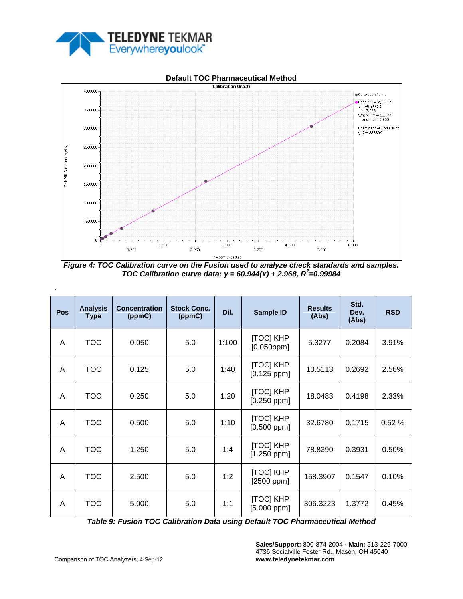

# **Default TOC Pharmaceutical Method**



*Figure 4: TOC Calibration curve on the Fusion used to analyze check standards and samples. TOC Calibration curve data:*  $y = 60.944(x) + 2.968$ *,*  $R^2 = 0.99984$ 

| Pos | <b>Analysis</b><br><b>Type</b> | <b>Concentration</b><br>(ppmC) | <b>Stock Conc.</b><br>(ppmC) | Dil.  | Sample ID                         | <b>Results</b><br>(Abs) | Std.<br>Dev.<br>(Abs) | <b>RSD</b> |
|-----|--------------------------------|--------------------------------|------------------------------|-------|-----------------------------------|-------------------------|-----------------------|------------|
| A   | <b>TOC</b>                     | 0.050                          | 5.0                          | 1:100 | [TOC] KHP<br>$[0.050$ ppm $]$     | 5.3277                  | 0.2084                | 3.91%      |
| A   | <b>TOC</b>                     | 0.125                          | 5.0                          | 1:40  | [TOC] KHP<br>$[0.125$ ppm]        | 10.5113                 | 0.2692                | 2.56%      |
| A   | <b>TOC</b>                     | 0.250                          | 5.0                          | 1:20  | [TOC] KHP<br>$[0.250$ ppm]        | 18.0483                 | 0.4198                | 2.33%      |
| A   | <b>TOC</b>                     | 0.500                          | 5.0                          | 1:10  | <b>[TOC] KHP</b><br>$[0.500$ ppm] | 32.6780                 | 0.1715                | 0.52%      |
| A   | <b>TOC</b>                     | 1.250                          | 5.0                          | 1:4   | [TOC] KHP<br>$[1.250$ ppm]        | 78.8390                 | 0.3931                | 0.50%      |
| A   | <b>TOC</b>                     | 2.500                          | 5.0                          | 1:2   | <b>[TOC] KHP</b><br>$[2500$ ppm]  | 158.3907                | 0.1547                | 0.10%      |
| A   | <b>TOC</b>                     | 5.000                          | 5.0                          | 1:1   | [TOC] KHP<br>$[5.000$ ppm]        | 306.3223                | 1.3772                | 0.45%      |

*Table 9: Fusion TOC Calibration Data using Default TOC Pharmaceutical Method*

**Sales/Support:** 800-874-2004 · **Main:** 513-229-7000 4736 Socialville Foster Rd., Mason, OH 45040 **www.teledynetekmar.com**

.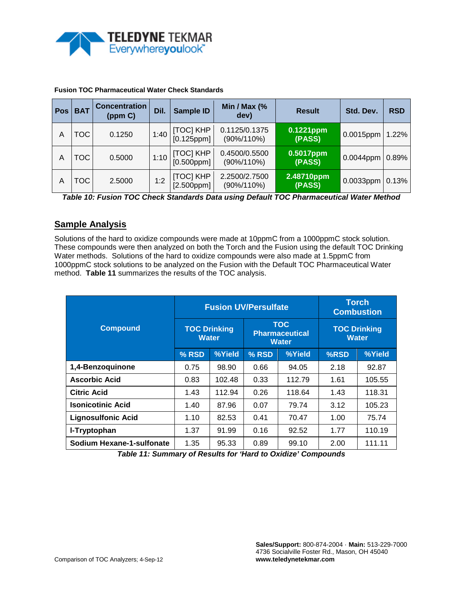

| <b>Pos</b> | <b>BAT</b> | <b>Concentration</b><br>(ppm C) | Dil. | <b>Sample ID</b>              | Min / Max (%<br><b>Result</b><br>dev) |                        | Std. Dev. | <b>RSD</b> |
|------------|------------|---------------------------------|------|-------------------------------|---------------------------------------|------------------------|-----------|------------|
| А          | тос        | 0.1250                          | 1:40 | [TOC] KHP<br>$[0.125$ ppm]    | 0.1125/0.1375<br>$(90\%/110\%)$       | 0.1221ppm<br>(PASS)    | 0.0015ppm | 1.22%      |
| Α          | TOC        | 0.5000                          | 1:10 | [TOC] KHP<br>$[0.500$ ppm $]$ | 0.4500/0.5500<br>$(90\%/110\%)$       | $0.5017$ ppm<br>(PASS) | 0.0044ppm | 0.89%      |
| А          | <b>TOC</b> | 2.5000                          | 1:2  | [TOC] KHP<br>$[2.500$ ppm $]$ | 2.2500/2.7500<br>$(90\%/110\%)$       | 2.48710ppm<br>(PASS)   | 0.0033ppm | 0.13%      |

#### **Fusion TOC Pharmaceutical Water Check Standards**

*Table 10: Fusion TOC Check Standards Data using Default TOC Pharmaceutical Water Method*

# **Sample Analysis**

Solutions of the hard to oxidize compounds were made at 10ppmC from a 1000ppmC stock solution. These compounds were then analyzed on both the Torch and the Fusion using the default TOC Drinking Water methods. Solutions of the hard to oxidize compounds were also made at 1.5ppmC from 1000ppmC stock solutions to be analyzed on the Fusion with the Default TOC Pharmaceutical Water method. **Table 11** summarizes the results of the TOC analysis.

|                           |       |                                     | <b>Fusion UV/Persulfate</b>                         |        | <b>Torch</b><br><b>Combustion</b>   |        |  |
|---------------------------|-------|-------------------------------------|-----------------------------------------------------|--------|-------------------------------------|--------|--|
| <b>Compound</b>           |       | <b>TOC Drinking</b><br><b>Water</b> | <b>TOC</b><br><b>Pharmaceutical</b><br><b>Water</b> |        | <b>TOC Drinking</b><br><b>Water</b> |        |  |
|                           | % RSD | %Yield                              | % RSD                                               | %Yield | %RSD                                | %Yield |  |
| 1,4-Benzoquinone          | 0.75  | 98.90                               | 0.66                                                | 94.05  | 2.18                                | 92.87  |  |
| <b>Ascorbic Acid</b>      | 0.83  | 102.48                              | 0.33                                                | 112.79 | 1.61                                | 105.55 |  |
| <b>Citric Acid</b>        | 1.43  | 112.94                              | 0.26                                                | 118.64 | 1.43                                | 118.31 |  |
| <b>Isonicotinic Acid</b>  | 1.40  | 87.96                               | 0.07                                                | 79.74  | 3.12                                | 105.23 |  |
| <b>Lignosulfonic Acid</b> | 1.10  | 82.53                               | 0.41                                                | 70.47  | 1.00                                | 75.74  |  |
| I-Tryptophan              | 1.37  | 91.99                               | 0.16                                                | 92.52  | 1.77                                | 110.19 |  |
| Sodium Hexane-1-sulfonate | 1.35  | 95.33                               | 0.89                                                | 99.10  | 2.00                                | 111.11 |  |

*Table 11: Summary of Results for 'Hard to Oxidize' Compounds*